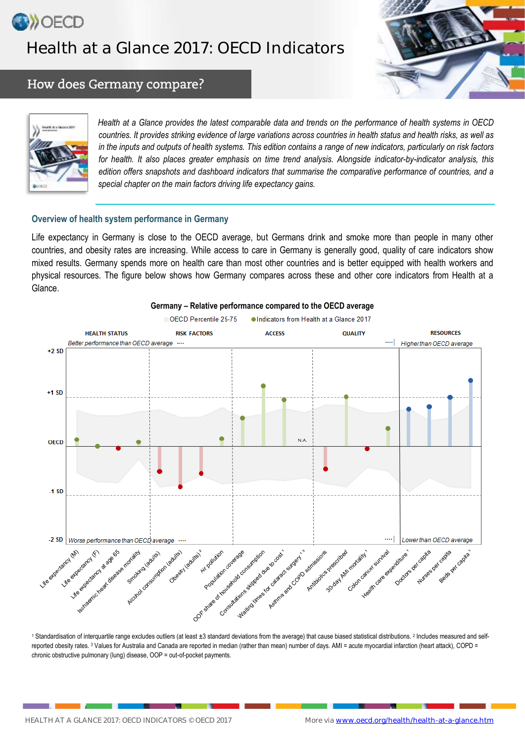

# Health at a Glance 2017: OECD Indicators



### How does Germany compare?



*Health at a Glance provides the latest comparable data and trends on the performance of health systems in OECD countries. It provides striking evidence of large variations across countries in health status and health risks, as well as in the inputs and outputs of health systems. This edition contains a range of new indicators, particularly on risk factors for health. It also places greater emphasis on time trend analysis. Alongside indicator-by-indicator analysis, this edition offers snapshots and dashboard indicators that summarise the comparative performance of countries, and a special chapter on the main factors driving life expectancy gains.*

### **Overview of health system performance in Germany**

Life expectancy in Germany is close to the OECD average, but Germans drink and smoke more than people in many other countries, and obesity rates are increasing. While access to care in Germany is generally good, quality of care indicators show mixed results. Germany spends more on health care than most other countries and is better equipped with health workers and physical resources. The figure below shows how Germany compares across these and other core indicators from Health at a Glance.



#### **Germany – Relative performance compared to the OECD average**

1 Standardisation of interquartile range excludes outliers (at least ±3 standard deviations from the average) that cause biased statistical distributions. 2 Includes measured and selfreported obesity rates. <sup>3</sup> Values for Australia and Canada are reported in median (rather than mean) number of days. AMI = acute myocardial infarction (heart attack), COPD = chronic obstructive pulmonary (lung) disease, OOP = out-of-pocket payments.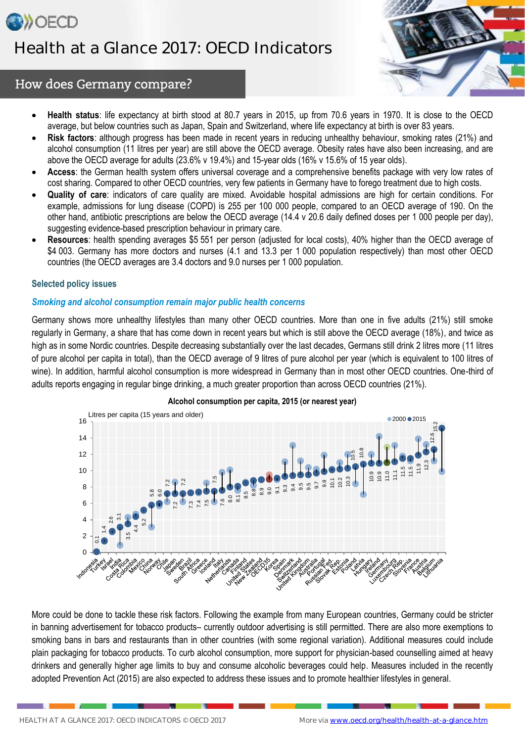



# How does Germany compare?

- **Health status**: life expectancy at birth stood at 80.7 years in 2015, up from 70.6 years in 1970. It is close to the OECD average, but below countries such as Japan, Spain and Switzerland, where life expectancy at birth is over 83 years.
- **Risk factors**: although progress has been made in recent years in reducing unhealthy behaviour, smoking rates (21%) and alcohol consumption (11 litres per year) are still above the OECD average. Obesity rates have also been increasing, and are above the OECD average for adults (23.6% v 19.4%) and 15-year olds (16% v 15.6% of 15 year olds).
- **Access**: the German health system offers universal coverage and a comprehensive benefits package with very low rates of cost sharing. Compared to other OECD countries, very few patients in Germany have to forego treatment due to high costs.
- **Quality of care**: indicators of care quality are mixed. Avoidable hospital admissions are high for certain conditions. For example, admissions for lung disease (COPD) is 255 per 100 000 people, compared to an OECD average of 190. On the other hand, antibiotic prescriptions are below the OECD average (14.4 v 20.6 daily defined doses per 1 000 people per day), suggesting evidence-based prescription behaviour in primary care.
- **Resources**: health spending averages \$5 551 per person (adjusted for local costs), 40% higher than the OECD average of \$4 003. Germany has more doctors and nurses (4.1 and 13.3 per 1 000 population respectively) than most other OECD countries (the OECD averages are 3.4 doctors and 9.0 nurses per 1 000 population.

### **Selected policy issues**

### *Smoking and alcohol consumption remain major public health concerns*

Germany shows more unhealthy lifestyles than many other OECD countries. More than one in five adults (21%) still smoke regularly in Germany, a share that has come down in recent years but which is still above the OECD average (18%), and twice as high as in some Nordic countries. Despite decreasing substantially over the last decades, Germans still drink 2 litres more (11 litres of pure alcohol per capita in total), than the OECD average of 9 litres of pure alcohol per year (which is equivalent to 100 litres of wine). In addition, harmful alcohol consumption is more widespread in Germany than in most other OECD countries. One-third of adults reports engaging in regular binge drinking, a much greater proportion than across OECD countries (21%).



**Alcohol consumption per capita, 2015 (or nearest year)**

More could be done to tackle these risk factors. Following the example from many European countries, Germany could be stricter in banning advertisement for tobacco products– currently outdoor advertising is still permitted. There are also more exemptions to smoking bans in bars and restaurants than in other countries (with some regional variation). Additional measures could include plain packaging for tobacco products. To curb alcohol consumption, more support for physician-based counselling aimed at heavy drinkers and generally higher age limits to buy and consume alcoholic beverages could help. Measures included in the recently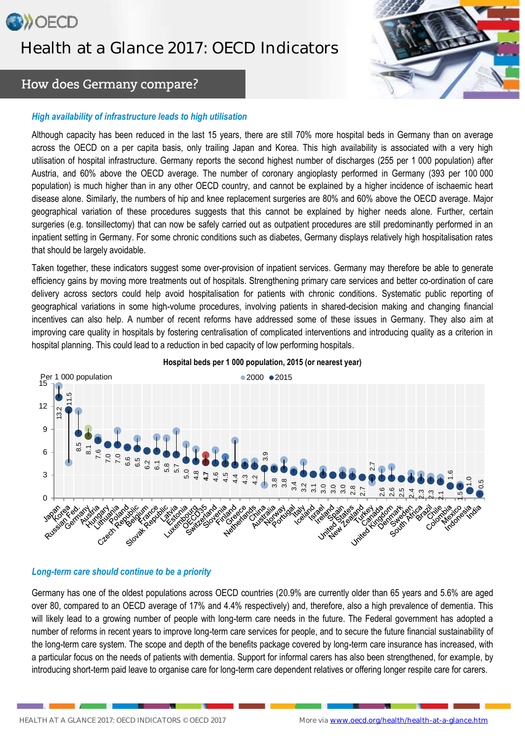# **OD**>OECD Health at a Glance 2017: OECD Indicators



# How does Germany compare?

### *High availability of infrastructure leads to high utilisation*

Although capacity has been reduced in the last 15 years, there are still 70% more hospital beds in Germany than on average across the OECD on a per capita basis, only trailing Japan and Korea. This high availability is associated with a very high utilisation of hospital infrastructure. Germany reports the second highest number of discharges (255 per 1 000 population) after Austria, and 60% above the OECD average. The number of coronary angioplasty performed in Germany (393 per 100 000 population) is much higher than in any other OECD country, and cannot be explained by a higher incidence of ischaemic heart disease alone. Similarly, the numbers of hip and knee replacement surgeries are 80% and 60% above the OECD average. Major geographical variation of these procedures suggests that this cannot be explained by higher needs alone. Further, certain surgeries (e.g. tonsillectomy) that can now be safely carried out as outpatient procedures are still predominantly performed in an inpatient setting in Germany. For some chronic conditions such as diabetes, Germany displays relatively high hospitalisation rates that should be largely avoidable.

Taken together, these indicators suggest some over-provision of inpatient services. Germany may therefore be able to generate efficiency gains by moving more treatments out of hospitals. Strengthening primary care services and better co-ordination of care delivery across sectors could help avoid hospitalisation for patients with chronic conditions. Systematic public reporting of geographical variations in some high-volume procedures, involving patients in shared-decision making and changing financial incentives can also help. A number of recent reforms have addressed some of these issues in Germany. They also aim at improving care quality in hospitals by fostering centralisation of complicated interventions and introducing quality as a criterion in hospital planning. This could lead to a reduction in bed capacity of low performing hospitals.



### **Hospital beds per 1 000 population, 2015 (or nearest year)**

### *Long-term care should continue to be a priority*

Germany has one of the oldest populations across OECD countries (20.9% are currently older than 65 years and 5.6% are aged over 80, compared to an OECD average of 17% and 4.4% respectively) and, therefore, also a high prevalence of dementia. This will likely lead to a growing number of people with long-term care needs in the future. The Federal government has adopted a number of reforms in recent years to improve long-term care services for people, and to secure the future financial sustainability of the long-term care system. The scope and depth of the benefits package covered by long-term care insurance has increased, with a particular focus on the needs of patients with dementia. Support for informal carers has also been strengthened, for example, by introducing short-term paid leave to organise care for long-term care dependent relatives or offering longer respite care for carers.